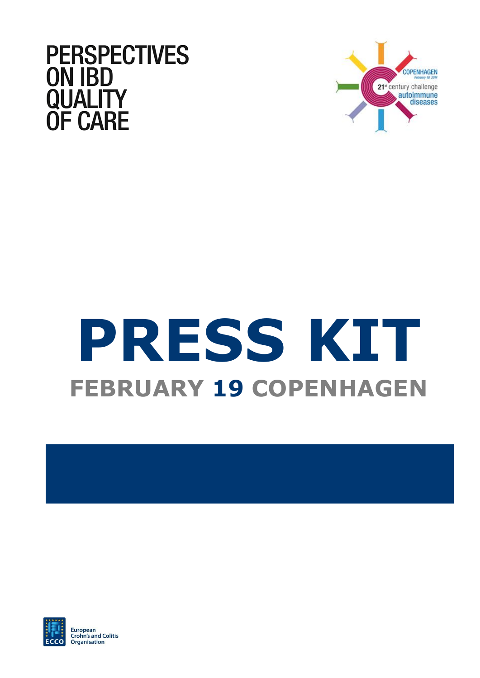



# **PRESS KIT FEBRUARY 19 COPENHAGEN**



European **Crohn's and Colitis** Organisation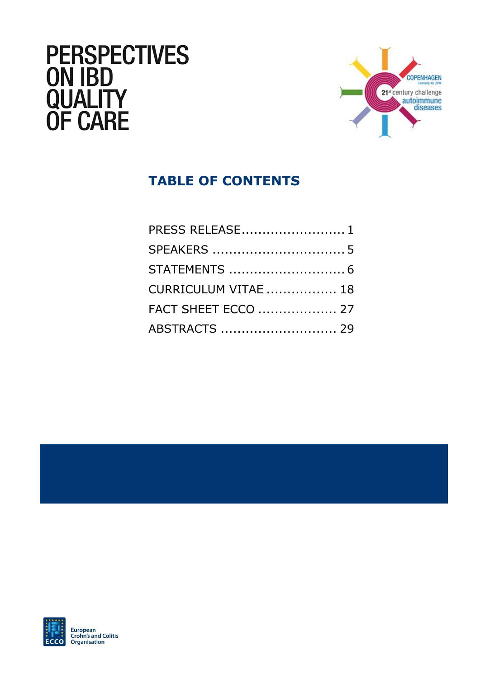# **PERSPECTIVES<br>ON IBD<br>QUALITY<br>OF CARE**



# **TABLE OF CONTENTS**

| PRESS RELEASE 1            |  |
|----------------------------|--|
|                            |  |
|                            |  |
| CURRICULUM VITAE  18       |  |
| <b>FACT SHEET ECCO  27</b> |  |
| ABSTRACTS  29              |  |



**European<br>Crohn's and Colitis** Organisation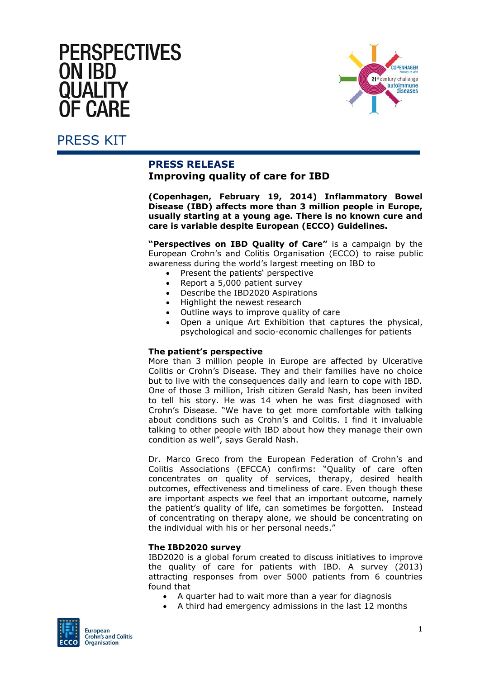# **PERSPECTIVES ON IBD** OHAL FI **F CARF**



### <span id="page-2-0"></span>PRESS KIT

#### **PRESS RELEASE Improving quality of care for IBD**

**(Copenhagen, February 19, 2014) Inflammatory Bowel Disease (IBD) affects more than 3 million people in Europe, usually starting at a young age. There is no known cure and care is variable despite European (ECCO) Guidelines.**

**"Perspectives on IBD Quality of Care"** is a campaign by the European Crohn's and Colitis Organisation (ECCO) to raise public awareness during the world's largest meeting on IBD to

- Present the patients' perspective
- Report a 5,000 patient survey
- Describe the IBD2020 Aspirations
- Highlight the newest research
- Outline ways to improve quality of care
- Open a unique Art Exhibition that captures the physical, psychological and socio-economic challenges for patients

#### **The patient's perspective**

More than 3 million people in Europe are affected by Ulcerative Colitis or Crohn's Disease. They and their families have no choice but to live with the consequences daily and learn to cope with IBD. One of those 3 million, Irish citizen Gerald Nash, has been invited to tell his story. He was 14 when he was first diagnosed with Crohn's Disease. "We have to get more comfortable with talking about conditions such as Crohn's and Colitis. I find it invaluable talking to other people with IBD about how they manage their own condition as well", says Gerald Nash.

Dr. Marco Greco from the European Federation of Crohn's and Colitis Associations (EFCCA) confirms: "Quality of care often concentrates on quality of services, therapy, desired health outcomes, effectiveness and timeliness of care. Even though these are important aspects we feel that an important outcome, namely the patient's quality of life, can sometimes be forgotten. Instead of concentrating on therapy alone, we should be concentrating on the individual with his or her personal needs."

#### **The IBD2020 survey**

IBD2020 is a global forum created to discuss initiatives to improve the quality of care for patients with IBD. A survey (2013) attracting responses from over 5000 patients from 6 countries found that

- A quarter had to wait more than a year for diagnosis
- A third had emergency admissions in the last 12 months

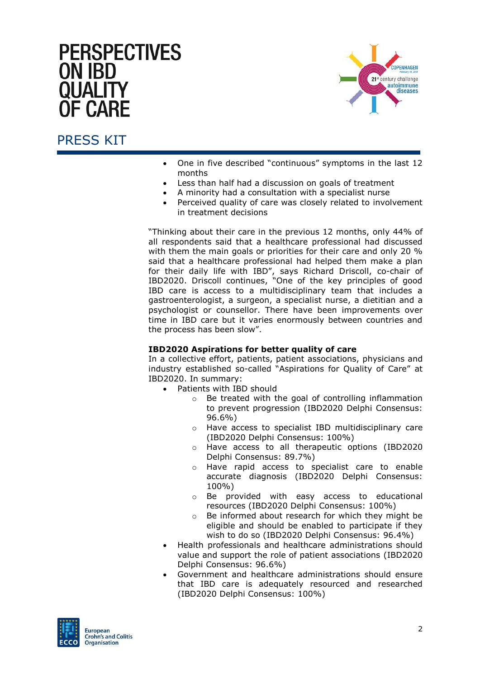# **PERSPECTIVES ON IBD** = CΔRF



#### PRESS KIT

- One in five described "continuous" symptoms in the last 12 months
- Less than half had a discussion on goals of treatment
- A minority had a consultation with a specialist nurse
- Perceived quality of care was closely related to involvement in treatment decisions

"Thinking about their care in the previous 12 months, only 44% of all respondents said that a healthcare professional had discussed with them the main goals or priorities for their care and only 20 % said that a healthcare professional had helped them make a plan for their daily life with IBD", says Richard Driscoll, co-chair of IBD2020. Driscoll continues, "One of the key principles of good IBD care is access to a multidisciplinary team that includes a gastroenterologist, a surgeon, a specialist nurse, a dietitian and a psychologist or counsellor. There have been improvements over time in IBD care but it varies enormously between countries and the process has been slow".

#### **IBD2020 Aspirations for better quality of care**

In a collective effort, patients, patient associations, physicians and industry established so-called "Aspirations for Quality of Care" at IBD2020. In summary:

- Patients with IBD should
	- o Be treated with the goal of controlling inflammation to prevent progression (IBD2020 Delphi Consensus: 96.6%)
	- o Have access to specialist IBD multidisciplinary care (IBD2020 Delphi Consensus: 100%)
	- o Have access to all therapeutic options (IBD2020 Delphi Consensus: 89.7%)
	- o Have rapid access to specialist care to enable accurate diagnosis (IBD2020 Delphi Consensus: 100%)
	- o Be provided with easy access to educational resources (IBD2020 Delphi Consensus: 100%)
	- o Be informed about research for which they might be eligible and should be enabled to participate if they wish to do so (IBD2020 Delphi Consensus: 96.4%)
- Health professionals and healthcare administrations should value and support the role of patient associations (IBD2020 Delphi Consensus: 96.6%)
- Government and healthcare administrations should ensure that IBD care is adequately resourced and researched (IBD2020 Delphi Consensus: 100%)

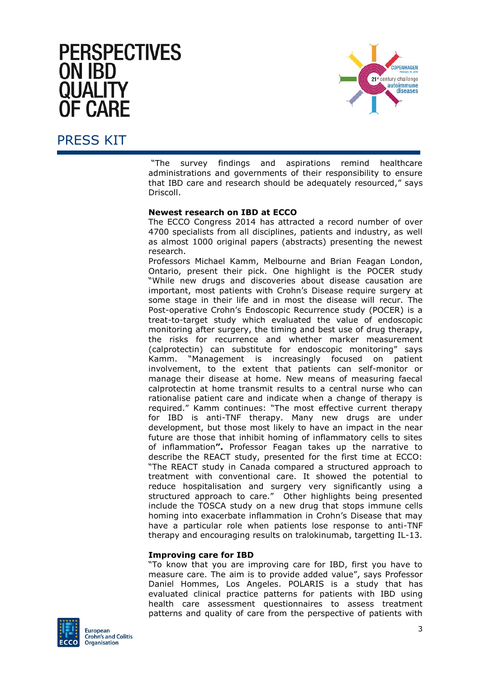# **PERSPECTIVES ON IBD** OHAL FI IF CΔRF



#### PRESS KIT

"The survey findings and aspirations remind healthcare administrations and governments of their responsibility to ensure that IBD care and research should be adequately resourced," says Driscoll.

#### **Newest research on IBD at ECCO**

The ECCO Congress 2014 has attracted a record number of over 4700 specialists from all disciplines, patients and industry, as well as almost 1000 original papers (abstracts) presenting the newest research.

Professors Michael Kamm, Melbourne and Brian Feagan London, Ontario, present their pick. One highlight is the POCER study "While new drugs and discoveries about disease causation are important, most patients with Crohn's Disease require surgery at some stage in their life and in most the disease will recur. The Post-operative Crohn's Endoscopic Recurrence study (POCER) is a treat-to-target study which evaluated the value of endoscopic monitoring after surgery, the timing and best use of drug therapy, the risks for recurrence and whether marker measurement (calprotectin) can substitute for endoscopic monitoring" says Kamm. "Management is increasingly focused on patient involvement, to the extent that patients can self-monitor or manage their disease at home. New means of measuring faecal calprotectin at home transmit results to a central nurse who can rationalise patient care and indicate when a change of therapy is required." Kamm continues: "The most effective current therapy for IBD is anti-TNF therapy. Many new drugs are under development, but those most likely to have an impact in the near future are those that inhibit homing of inflammatory cells to sites of inflammation**".** Professor Feagan takes up the narrative to describe the REACT study, presented for the first time at ECCO: "The REACT study in Canada compared a structured approach to treatment with conventional care. It showed the potential to reduce hospitalisation and surgery very significantly using a structured approach to care." Other highlights being presented include the TOSCA study on a new drug that stops immune cells homing into exacerbate inflammation in Crohn's Disease that may have a particular role when patients lose response to anti-TNF therapy and encouraging results on tralokinumab, targetting IL-13.

#### **Improving care for IBD**

"To know that you are improving care for IBD, first you have to measure care. The aim is to provide added value", says Professor Daniel Hommes, Los Angeles. POLARIS is a study that has evaluated clinical practice patterns for patients with IBD using health care assessment questionnaires to assess treatment patterns and quality of care from the perspective of patients with

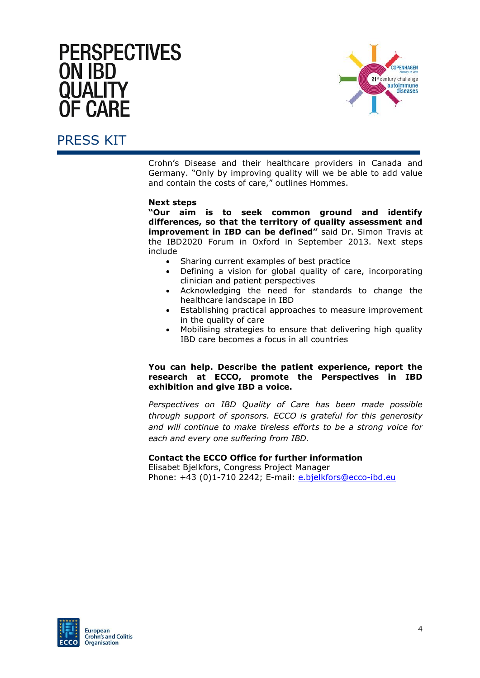

### PRESS KIT

Crohn's Disease and their healthcare providers in Canada and Germany. "Only by improving quality will we be able to add value and contain the costs of care," outlines Hommes.

#### **Next steps**

**"Our aim is to seek common ground and identify differences, so that the territory of quality assessment and improvement in IBD can be defined"** said Dr. Simon Travis at the IBD2020 Forum in Oxford in September 2013. Next steps include

- Sharing current examples of best practice
- Defining a vision for global quality of care, incorporating clinician and patient perspectives
- Acknowledging the need for standards to change the healthcare landscape in IBD
- Establishing practical approaches to measure improvement in the quality of care
- Mobilising strategies to ensure that delivering high quality IBD care becomes a focus in all countries

#### **You can help. Describe the patient experience, report the research at ECCO, promote the Perspectives in IBD exhibition and give IBD a voice.**

*Perspectives on IBD Quality of Care has been made possible through support of sponsors. ECCO is grateful for this generosity and will continue to make tireless efforts to be a strong voice for each and every one suffering from IBD.*

#### **Contact the ECCO Office for further information**

Elisabet Bjelkfors, Congress Project Manager Phone: +43 (0)1-710 2242; E-mail: [e.bjelkfors@ecco-ibd.eu](mailto:e.bjelkfors@ecco-ibd.eu)

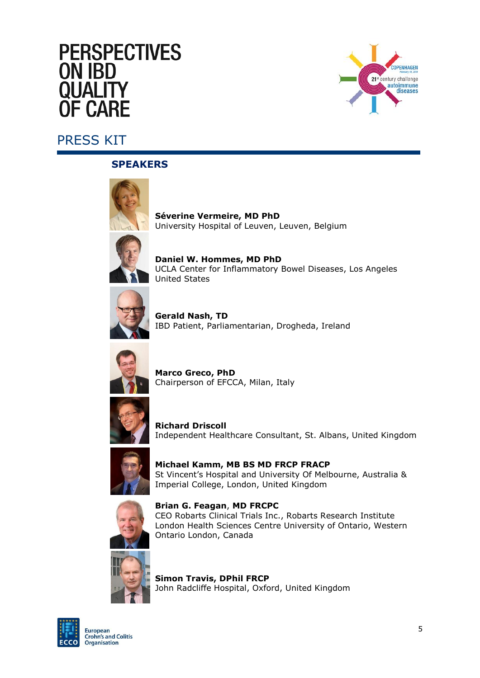# **PERSPECTIVES ON IBD** OHAL FI **F CARF**



# <span id="page-6-0"></span>PRESS KIT

#### **SPEAKERS**



**Séverine Vermeire, MD PhD** University Hospital of Leuven, Leuven, Belgium

**Daniel W. Hommes, MD PhD** UCLA Center for Inflammatory Bowel Diseases, Los Angeles United States



**Gerald Nash, TD** IBD Patient, Parliamentarian, Drogheda, Ireland



**Marco Greco, PhD** Chairperson of EFCCA, Milan, Italy



**Richard Driscoll**  Independent Healthcare Consultant, St. Albans, United Kingdom



**Michael Kamm, MB BS MD FRCP FRACP** St Vincent's Hospital and University Of Melbourne, Australia & Imperial College, London, United Kingdom



**Brian G. Feagan**, **MD FRCPC** CEO Robarts Clinical Trials Inc., Robarts Research Institute London Health Sciences Centre University of Ontario, Western Ontario London, Canada



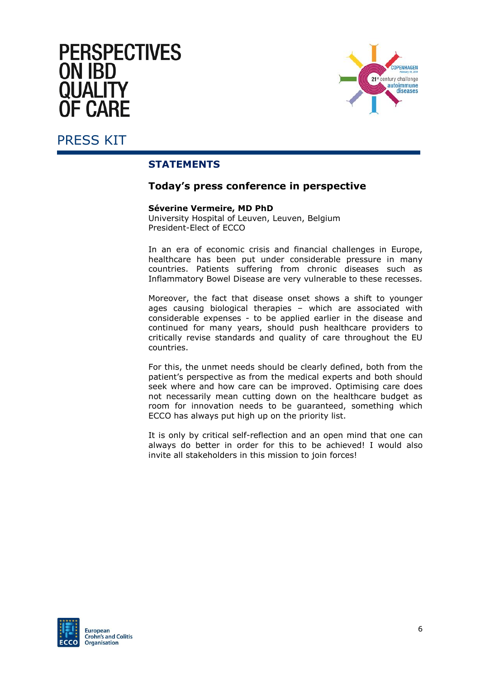# **PERSPECTIVES ON IBD** OHALIT **F CARF**



#### <span id="page-7-0"></span>PRESS KIT

#### **STATEMENTS**

#### **Today's press conference in perspective**

#### **Séverine Vermeire, MD PhD**

University Hospital of Leuven, Leuven, Belgium President-Elect of ECCO

In an era of economic crisis and financial challenges in Europe, healthcare has been put under considerable pressure in many countries. Patients suffering from chronic diseases such as Inflammatory Bowel Disease are very vulnerable to these recesses.

Moreover, the fact that disease onset shows a shift to younger ages causing biological therapies – which are associated with considerable expenses - to be applied earlier in the disease and continued for many years, should push healthcare providers to critically revise standards and quality of care throughout the EU countries.

For this, the unmet needs should be clearly defined, both from the patient's perspective as from the medical experts and both should seek where and how care can be improved. Optimising care does not necessarily mean cutting down on the healthcare budget as room for innovation needs to be guaranteed, something which ECCO has always put high up on the priority list.

It is only by critical self-reflection and an open mind that one can always do better in order for this to be achieved! I would also invite all stakeholders in this mission to join forces!

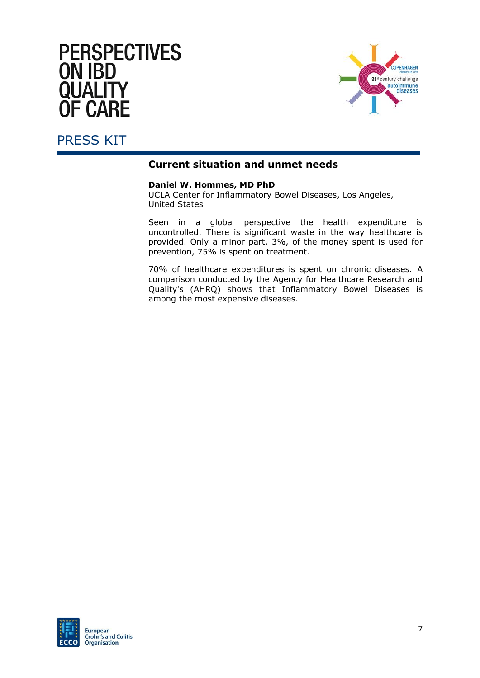

#### PRESS KIT

#### **Current situation and unmet needs**

#### **Daniel W. Hommes, MD PhD**

UCLA Center for Inflammatory Bowel Diseases, Los Angeles, United States

Seen in a global perspective the health expenditure is uncontrolled. There is significant waste in the way healthcare is provided. Only a minor part, 3%, of the money spent is used for prevention, 75% is spent on treatment.

70% of healthcare expenditures is spent on chronic diseases. A comparison conducted by the Agency for Healthcare Research and Quality's (AHRQ) shows that Inflammatory Bowel Diseases is among the most expensive diseases.

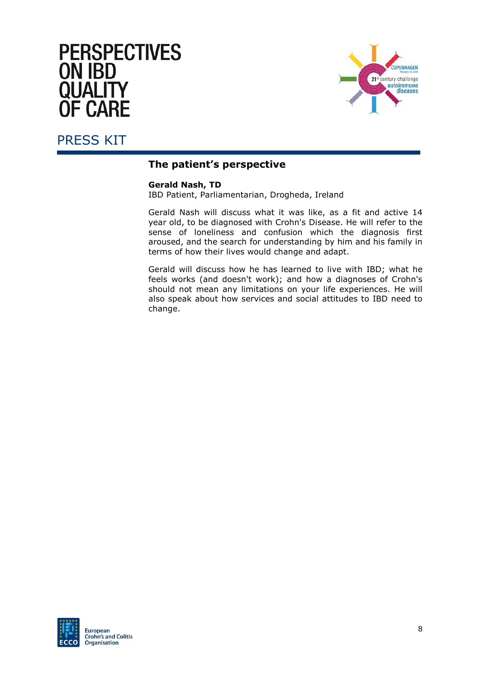



#### **The patient's perspective**

#### **Gerald Nash, TD**

IBD Patient, Parliamentarian, Drogheda, Ireland

Gerald Nash will discuss what it was like, as a fit and active 14 year old, to be diagnosed with Crohn's Disease. He will refer to the sense of loneliness and confusion which the diagnosis first aroused, and the search for understanding by him and his family in terms of how their lives would change and adapt.

Gerald will discuss how he has learned to live with IBD; what he feels works (and doesn't work); and how a diagnoses of Crohn's should not mean any limitations on your life experiences. He will also speak about how services and social attitudes to IBD need to change.

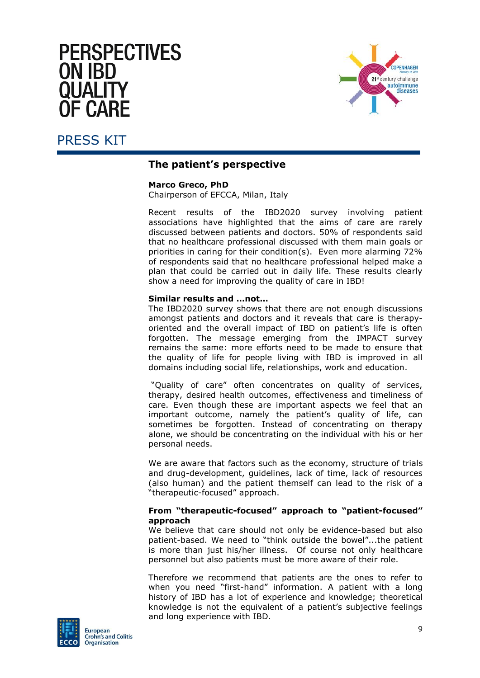# **PERSPECTIVES ON IBD** OUAL IT IF CΔRF





#### **The patient's perspective**

#### **Marco Greco, PhD**

Chairperson of EFCCA, Milan, Italy

Recent results of the IBD2020 survey involving patient associations have highlighted that the aims of care are rarely discussed between patients and doctors. 50% of respondents said that no healthcare professional discussed with them main goals or priorities in caring for their condition(s). Even more alarming 72% of respondents said that no healthcare professional helped make a plan that could be carried out in daily life. These results clearly show a need for improving the quality of care in IBD!

#### **Similar results and …not…**

The IBD2020 survey shows that there are not enough discussions amongst patients and doctors and it reveals that care is therapyoriented and the overall impact of IBD on patient's life is often forgotten. The message emerging from the IMPACT survey remains the same: more efforts need to be made to ensure that the quality of life for people living with IBD is improved in all domains including social life, relationships, work and education.

"Quality of care" often concentrates on quality of services, therapy, desired health outcomes, effectiveness and timeliness of care. Even though these are important aspects we feel that an important outcome, namely the patient's quality of life, can sometimes be forgotten. Instead of concentrating on therapy alone, we should be concentrating on the individual with his or her personal needs.

We are aware that factors such as the economy, structure of trials and drug-development, guidelines, lack of time, lack of resources (also human) and the patient themself can lead to the risk of a "therapeutic-focused" approach.

#### **From "therapeutic-focused" approach to "patient-focused" approach**

We believe that care should not only be evidence-based but also patient-based. We need to "think outside the bowel"...the patient is more than just his/her illness. Of course not only healthcare personnel but also patients must be more aware of their role.

Therefore we recommend that patients are the ones to refer to when you need "first-hand" information. A patient with a long history of IBD has a lot of experience and knowledge; theoretical knowledge is not the equivalent of a patient's subjective feelings and long experience with IBD.

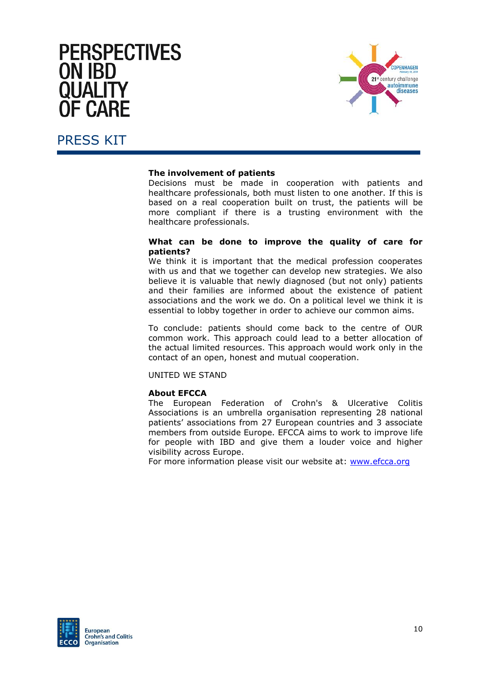

#### PRESS KIT

#### **The involvement of patients**

Decisions must be made in cooperation with patients and healthcare professionals, both must listen to one another. If this is based on a real cooperation built on trust, the patients will be more compliant if there is a trusting environment with the healthcare professionals.

#### **What can be done to improve the quality of care for patients?**

We think it is important that the medical profession cooperates with us and that we together can develop new strategies. We also believe it is valuable that newly diagnosed (but not only) patients and their families are informed about the existence of patient associations and the work we do. On a political level we think it is essential to lobby together in order to achieve our common aims.

To conclude: patients should come back to the centre of OUR common work. This approach could lead to a better allocation of the actual limited resources. This approach would work only in the contact of an open, honest and mutual cooperation.

UNITED WE STAND

#### **About EFCCA**

The European Federation of Crohn's & Ulcerative Colitis Associations is an umbrella organisation representing 28 national patients' associations from 27 European countries and 3 associate members from outside Europe. EFCCA aims to work to improve life for people with IBD and give them a louder voice and higher visibility across Europe.

For more information please visit our website at: [www.efcca.org](http://www.efcca.org/)

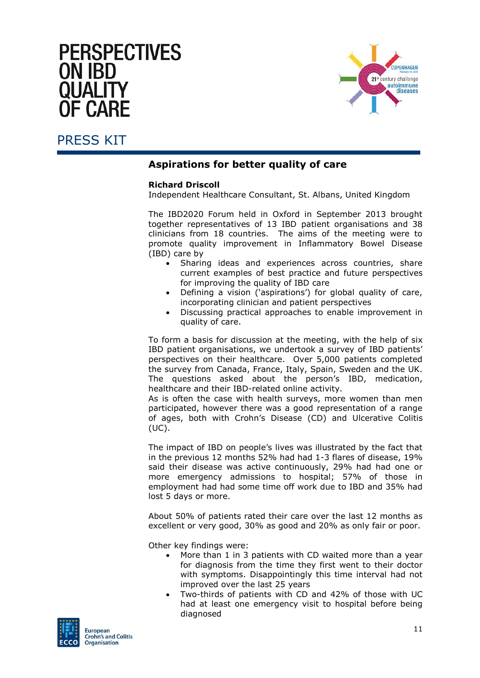# **PERSPECTIVES ON IBD** = CΔRF



#### PRESS KIT

#### **Aspirations for better quality of care**

#### **Richard Driscoll**

Independent Healthcare Consultant, St. Albans, United Kingdom

The IBD2020 Forum held in Oxford in September 2013 brought together representatives of 13 IBD patient organisations and 38 clinicians from 18 countries. The aims of the meeting were to promote quality improvement in Inflammatory Bowel Disease (IBD) care by

- Sharing ideas and experiences across countries, share current examples of best practice and future perspectives for improving the quality of IBD care
- Defining a vision ('aspirations') for global quality of care, incorporating clinician and patient perspectives
- Discussing practical approaches to enable improvement in quality of care.

To form a basis for discussion at the meeting, with the help of six IBD patient organisations, we undertook a survey of IBD patients' perspectives on their healthcare. Over 5,000 patients completed the survey from Canada, France, Italy, Spain, Sweden and the UK. The questions asked about the person's IBD, medication, healthcare and their IBD-related online activity.

As is often the case with health surveys, more women than men participated, however there was a good representation of a range of ages, both with Crohn's Disease (CD) and Ulcerative Colitis (UC).

The impact of IBD on people's lives was illustrated by the fact that in the previous 12 months 52% had had 1-3 flares of disease, 19% said their disease was active continuously, 29% had had one or more emergency admissions to hospital; 57% of those in employment had had some time off work due to IBD and 35% had lost 5 days or more.

About 50% of patients rated their care over the last 12 months as excellent or very good, 30% as good and 20% as only fair or poor.

Other key findings were:

- More than 1 in 3 patients with CD waited more than a year for diagnosis from the time they first went to their doctor with symptoms. Disappointingly this time interval had not improved over the last 25 years
- Two-thirds of patients with CD and 42% of those with UC had at least one emergency visit to hospital before being diagnosed

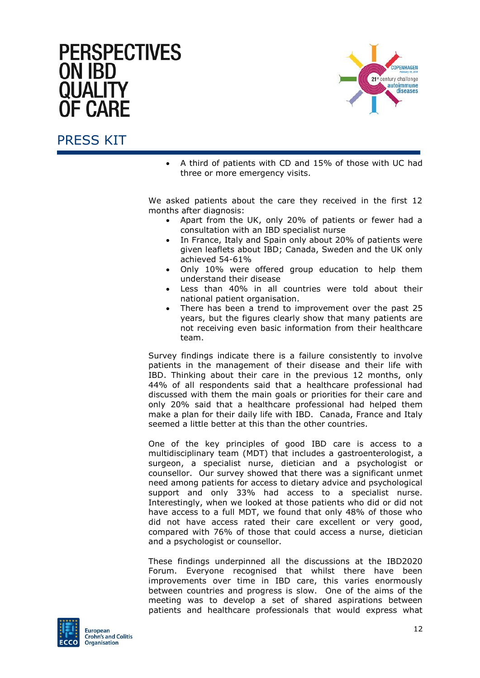# **PERSPECTIVES ON IBD** F CARF



#### PRESS KIT

 A third of patients with CD and 15% of those with UC had three or more emergency visits.

We asked patients about the care they received in the first 12 months after diagnosis:

- Apart from the UK, only 20% of patients or fewer had a consultation with an IBD specialist nurse
- In France, Italy and Spain only about 20% of patients were given leaflets about IBD; Canada, Sweden and the UK only achieved 54-61%
- Only 10% were offered group education to help them understand their disease
- Less than 40% in all countries were told about their national patient organisation.
- There has been a trend to improvement over the past 25 years, but the figures clearly show that many patients are not receiving even basic information from their healthcare team.

Survey findings indicate there is a failure consistently to involve patients in the management of their disease and their life with IBD. Thinking about their care in the previous 12 months, only 44% of all respondents said that a healthcare professional had discussed with them the main goals or priorities for their care and only 20% said that a healthcare professional had helped them make a plan for their daily life with IBD. Canada, France and Italy seemed a little better at this than the other countries.

One of the key principles of good IBD care is access to a multidisciplinary team (MDT) that includes a gastroenterologist, a surgeon, a specialist nurse, dietician and a psychologist or counsellor. Our survey showed that there was a significant unmet need among patients for access to dietary advice and psychological support and only 33% had access to a specialist nurse. Interestingly, when we looked at those patients who did or did not have access to a full MDT, we found that only 48% of those who did not have access rated their care excellent or very good, compared with 76% of those that could access a nurse, dietician and a psychologist or counsellor.

These findings underpinned all the discussions at the IBD2020 Forum. Everyone recognised that whilst there have been improvements over time in IBD care, this varies enormously between countries and progress is slow. One of the aims of the meeting was to develop a set of shared aspirations between patients and healthcare professionals that would express what

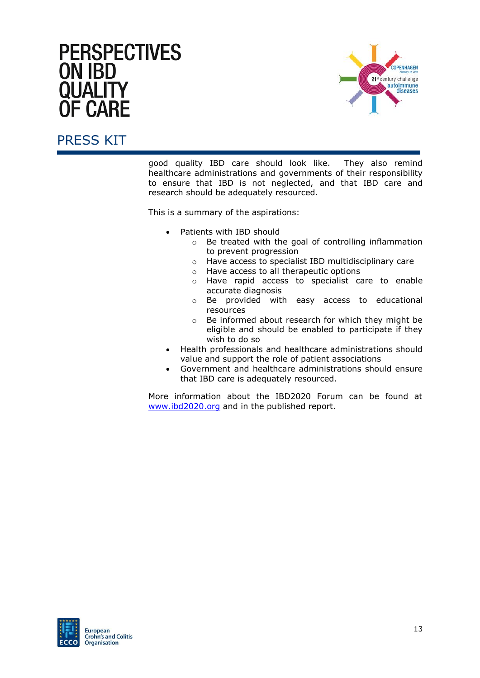

# PRESS KIT

good quality IBD care should look like. They also remind healthcare administrations and governments of their responsibility to ensure that IBD is not neglected, and that IBD care and research should be adequately resourced.

This is a summary of the aspirations:

- Patients with IBD should
	- o Be treated with the goal of controlling inflammation to prevent progression
	- o Have access to specialist IBD multidisciplinary care
	- o Have access to all therapeutic options
	- o Have rapid access to specialist care to enable accurate diagnosis
	- o Be provided with easy access to educational resources
	- o Be informed about research for which they might be eligible and should be enabled to participate if they wish to do so
- Health professionals and healthcare administrations should value and support the role of patient associations
- Government and healthcare administrations should ensure that IBD care is adequately resourced.

More information about the IBD2020 Forum can be found at [www.ibd2020.org](http://www.ibd2020.org/) and in the published report.

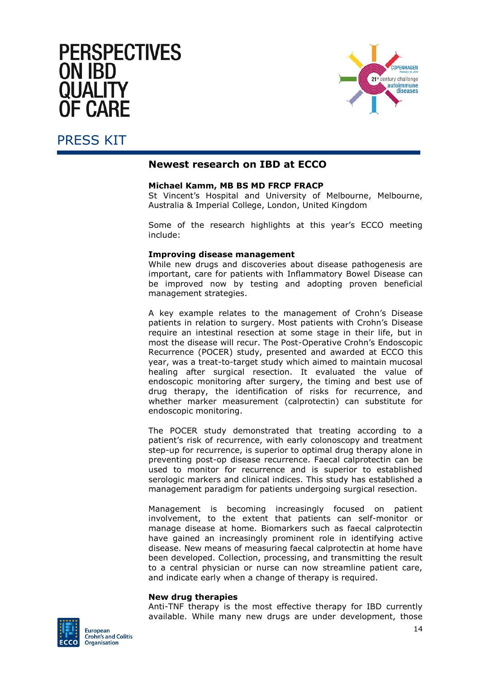# **PERSPECTIVES ON IBD** OHAL FI **F CARF**



### PRESS KIT

#### **Newest research on IBD at ECCO**

#### **Michael Kamm, MB BS MD FRCP FRACP**

St Vincent's Hospital and University of Melbourne, Melbourne, Australia & Imperial College, London, United Kingdom

Some of the research highlights at this year's ECCO meeting include:

#### **Improving disease management**

While new drugs and discoveries about disease pathogenesis are important, care for patients with Inflammatory Bowel Disease can be improved now by testing and adopting proven beneficial management strategies.

A key example relates to the management of Crohn's Disease patients in relation to surgery. Most patients with Crohn's Disease require an intestinal resection at some stage in their life, but in most the disease will recur. The Post-Operative Crohn's Endoscopic Recurrence (POCER) study, presented and awarded at ECCO this year, was a treat-to-target study which aimed to maintain mucosal healing after surgical resection. It evaluated the value of endoscopic monitoring after surgery, the timing and best use of drug therapy, the identification of risks for recurrence, and whether marker measurement (calprotectin) can substitute for endoscopic monitoring.

The POCER study demonstrated that treating according to a patient's risk of recurrence, with early colonoscopy and treatment step-up for recurrence, is superior to optimal drug therapy alone in preventing post-op disease recurrence. Faecal calprotectin can be used to monitor for recurrence and is superior to established serologic markers and clinical indices. This study has established a management paradigm for patients undergoing surgical resection.

Management is becoming increasingly focused on patient involvement, to the extent that patients can self-monitor or manage disease at home. Biomarkers such as faecal calprotectin have gained an increasingly prominent role in identifying active disease. New means of measuring faecal calprotectin at home have been developed. Collection, processing, and transmitting the result to a central physician or nurse can now streamline patient care, and indicate early when a change of therapy is required.

#### **New drug therapies**

Anti-TNF therapy is the most effective therapy for IBD currently available. While many new drugs are under development, those

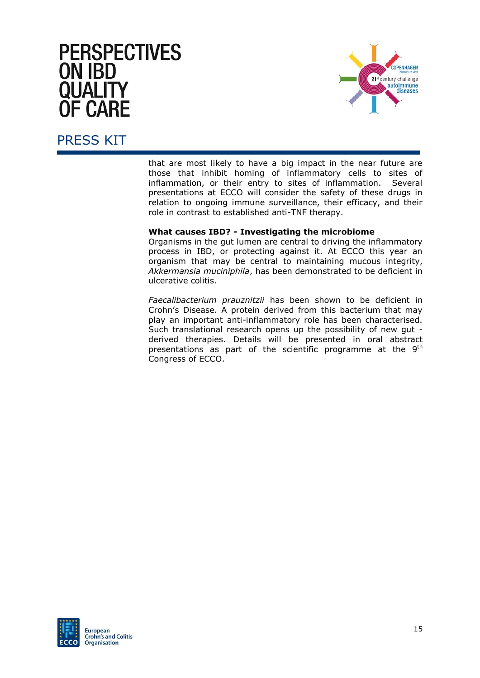

### PRESS KIT

that are most likely to have a big impact in the near future are those that inhibit homing of inflammatory cells to sites of inflammation, or their entry to sites of inflammation. Several presentations at ECCO will consider the safety of these drugs in relation to ongoing immune surveillance, their efficacy, and their role in contrast to established anti-TNF therapy.

#### **What causes IBD? - Investigating the microbiome**

Organisms in the gut lumen are central to driving the inflammatory process in IBD, or protecting against it. At ECCO this year an organism that may be central to maintaining mucous integrity, *Akkermansia muciniphila*, has been demonstrated to be deficient in ulcerative colitis.

*Faecalibacterium prauznitzii* has been shown to be deficient in Crohn's Disease. A protein derived from this bacterium that may play an important anti-inflammatory role has been characterised. Such translational research opens up the possibility of new gut derived therapies. Details will be presented in oral abstract presentations as part of the scientific programme at the  $9<sup>th</sup>$ Congress of ECCO.

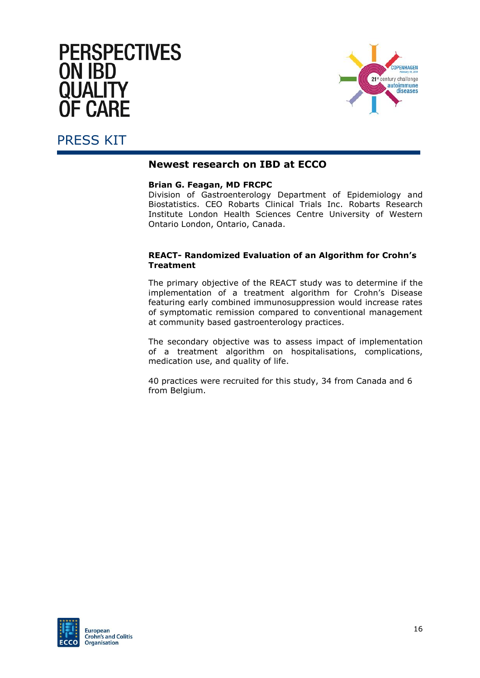

#### PRESS KIT

#### **Newest research on IBD at ECCO**

#### **Brian G. Feagan, MD FRCPC**

Division of Gastroenterology Department of Epidemiology and Biostatistics. CEO Robarts Clinical Trials Inc. Robarts Research Institute London Health Sciences Centre University of Western Ontario London, Ontario, Canada.

#### **REACT- Randomized Evaluation of an Algorithm for Crohn's Treatment**

The primary objective of the REACT study was to determine if the implementation of a treatment algorithm for Crohn's Disease featuring early combined immunosuppression would increase rates of symptomatic remission compared to conventional management at community based gastroenterology practices.

The secondary objective was to assess impact of implementation of a treatment algorithm on hospitalisations, complications, medication use, and quality of life.

40 practices were recruited for this study, 34 from Canada and 6 from Belgium.

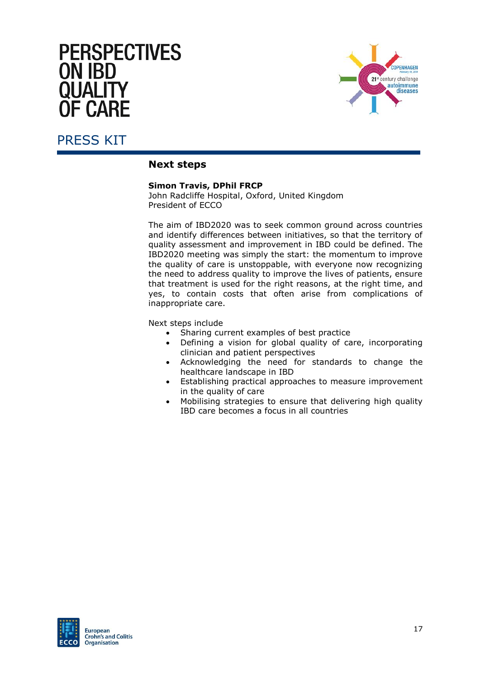

#### PRESS KIT

#### **Next steps**

#### **Simon Travis, DPhil FRCP**

John Radcliffe Hospital, Oxford, United Kingdom President of ECCO

The aim of IBD2020 was to seek common ground across countries and identify differences between initiatives, so that the territory of quality assessment and improvement in IBD could be defined. The IBD2020 meeting was simply the start: the momentum to improve the quality of care is unstoppable, with everyone now recognizing the need to address quality to improve the lives of patients, ensure that treatment is used for the right reasons, at the right time, and yes, to contain costs that often arise from complications of inappropriate care.

Next steps include

- Sharing current examples of best practice
- Defining a vision for global quality of care, incorporating clinician and patient perspectives
- Acknowledging the need for standards to change the healthcare landscape in IBD
- Establishing practical approaches to measure improvement in the quality of care
- Mobilising strategies to ensure that delivering high quality IBD care becomes a focus in all countries

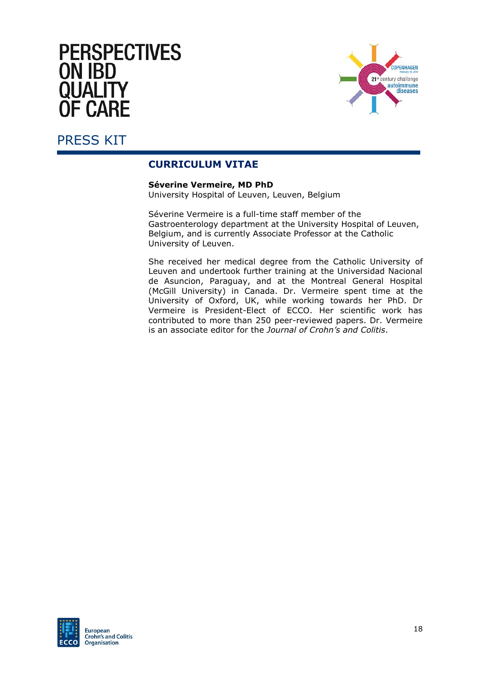

#### <span id="page-19-0"></span>PRESS KIT

#### **CURRICULUM VITAE**

**Séverine Vermeire, MD PhD**

University Hospital of Leuven, Leuven, Belgium

Séverine Vermeire is a full-time staff member of the Gastroenterology department at the University Hospital of Leuven, Belgium, and is currently Associate Professor at the Catholic University of Leuven.

She received her medical degree from the Catholic University of Leuven and undertook further training at the Universidad Nacional de Asuncion, Paraguay, and at the Montreal General Hospital (McGill University) in Canada. Dr. Vermeire spent time at the University of Oxford, UK, while working towards her PhD. Dr Vermeire is President-Elect of ECCO. Her scientific work has contributed to more than 250 peer-reviewed papers. Dr. Vermeire is an associate editor for the *Journal of Crohn's and Colitis*.

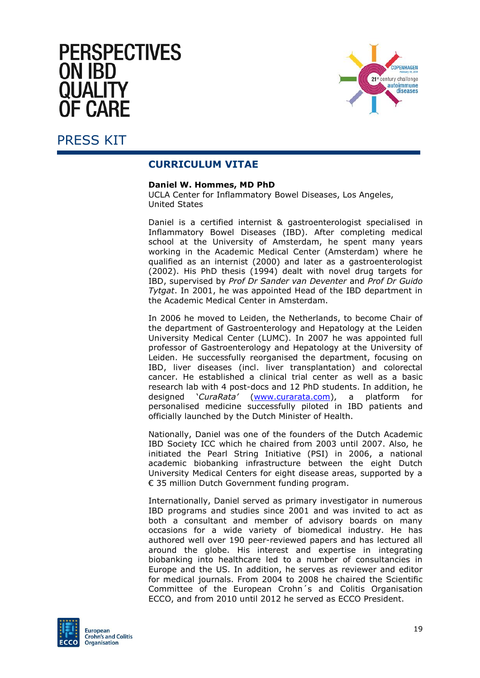# **PERSPECTIVES ON IBD** OHAL FI **F CARF**



#### PRESS KIT

#### **CURRICULUM VITAE**

#### **Daniel W. Hommes, MD PhD**

UCLA Center for Inflammatory Bowel Diseases, Los Angeles, United States

Daniel is a certified internist & gastroenterologist specialised in Inflammatory Bowel Diseases (IBD). After completing medical school at the University of Amsterdam, he spent many years working in the Academic Medical Center (Amsterdam) where he qualified as an internist (2000) and later as a gastroenterologist (2002). His PhD thesis (1994) dealt with novel drug targets for IBD, supervised by *Prof Dr Sander van Deventer* and *Prof Dr Guido Tytgat*. In 2001, he was appointed Head of the IBD department in the Academic Medical Center in Amsterdam.

In 2006 he moved to Leiden, the Netherlands, to become Chair of the department of Gastroenterology and Hepatology at the Leiden University Medical Center (LUMC). In 2007 he was appointed full professor of Gastroenterology and Hepatology at the University of Leiden. He successfully reorganised the department, focusing on IBD, liver diseases (incl. liver transplantation) and colorectal cancer. He established a clinical trial center as well as a basic research lab with 4 post-docs and 12 PhD students. In addition, he designed '*CuraRata'* [\(www.curarata.com\)](http://www.curarata.com/), a platform for personalised medicine successfully piloted in IBD patients and officially launched by the Dutch Minister of Health.

Nationally, Daniel was one of the founders of the Dutch Academic IBD Society ICC which he chaired from 2003 until 2007. Also, he initiated the Pearl String Initiative (PSI) in 2006, a national academic biobanking infrastructure between the eight Dutch University Medical Centers for eight disease areas, supported by a € 35 million Dutch Government funding program.

Internationally, Daniel served as primary investigator in numerous IBD programs and studies since 2001 and was invited to act as both a consultant and member of advisory boards on many occasions for a wide variety of biomedical industry. He has authored well over 190 peer-reviewed papers and has lectured all around the globe. His interest and expertise in integrating biobanking into healthcare led to a number of consultancies in Europe and the US. In addition, he serves as reviewer and editor for medical journals. From 2004 to 2008 he chaired the Scientific Committee of the European Crohn´s and Colitis Organisation ECCO, and from 2010 until 2012 he served as ECCO President.

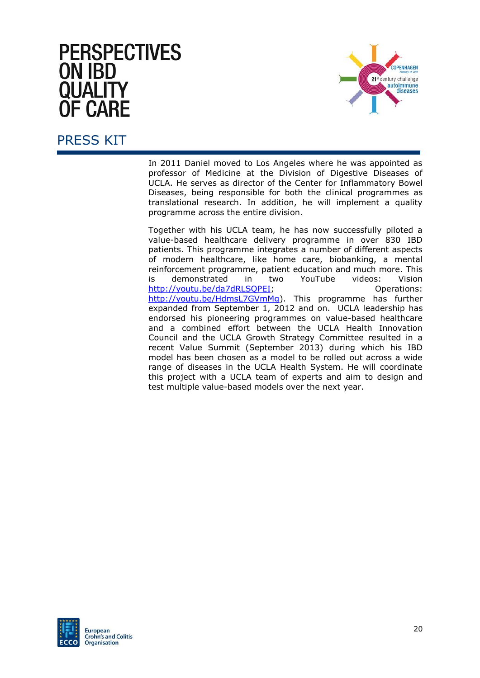

#### PRESS KIT

In 2011 Daniel moved to Los Angeles where he was appointed as professor of Medicine at the Division of Digestive Diseases of UCLA. He serves as director of the Center for Inflammatory Bowel Diseases, being responsible for both the clinical programmes as translational research. In addition, he will implement a quality programme across the entire division.

Together with his UCLA team, he has now successfully piloted a value-based healthcare delivery programme in over 830 IBD patients. This programme integrates a number of different aspects of modern healthcare, like home care, biobanking, a mental reinforcement programme, patient education and much more. This is demonstrated in two YouTube videos: Vision http://voutu.be/da7dRLSOPEI; example and the Operations: [http://youtu.be/HdmsL7GVmMg\)](http://youtu.be/HdmsL7GVmMg). This programme has further expanded from September 1, 2012 and on. UCLA leadership has endorsed his pioneering programmes on value-based healthcare and a combined effort between the UCLA Health Innovation Council and the UCLA Growth Strategy Committee resulted in a recent Value Summit (September 2013) during which his IBD model has been chosen as a model to be rolled out across a wide range of diseases in the UCLA Health System. He will coordinate this project with a UCLA team of experts and aim to design and test multiple value-based models over the next year.

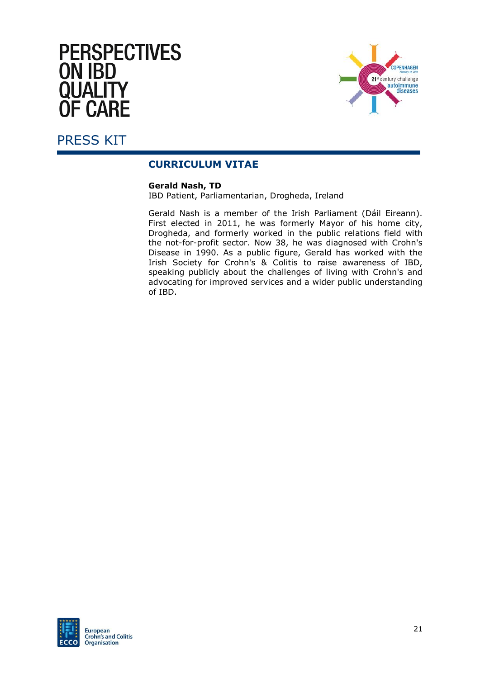

#### PRESS KIT

#### **CURRICULUM VITAE**

#### **Gerald Nash, TD**

IBD Patient, Parliamentarian, Drogheda, Ireland

Gerald Nash is a member of the Irish Parliament (Dáil Eireann). First elected in 2011, he was formerly Mayor of his home city, Drogheda, and formerly worked in the public relations field with the not-for-profit sector. Now 38, he was diagnosed with Crohn's Disease in 1990. As a public figure, Gerald has worked with the Irish Society for Crohn's & Colitis to raise awareness of IBD, speaking publicly about the challenges of living with Crohn's and advocating for improved services and a wider public understanding of IBD.

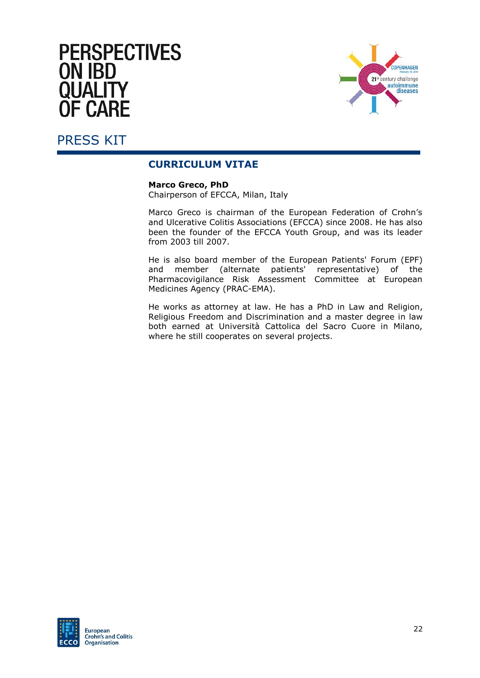

# PRESS KIT

#### **CURRICULUM VITAE**

**Marco Greco, PhD**

Chairperson of EFCCA, Milan, Italy

Marco Greco is chairman of the European Federation of Crohn's and Ulcerative Colitis Associations (EFCCA) since 2008. He has also been the founder of the EFCCA Youth Group, and was its leader from 2003 till 2007.

He is also board member of the European Patients' Forum (EPF) and member (alternate patients' representative) of the Pharmacovigilance Risk Assessment Committee at European Medicines Agency (PRAC-EMA).

He works as attorney at law. He has a PhD in Law and Religion, Religious Freedom and Discrimination and a master degree in law both earned at Università Cattolica del Sacro Cuore in Milano, where he still cooperates on several projects.

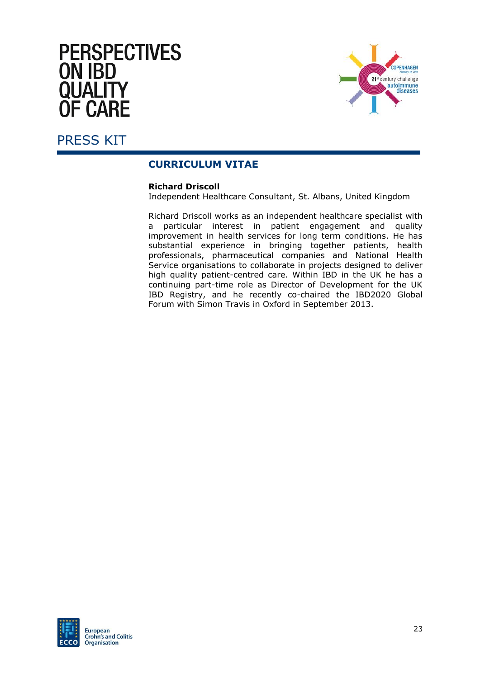

### PRESS KIT

#### **CURRICULUM VITAE**

#### **Richard Driscoll**

Independent Healthcare Consultant, St. Albans, United Kingdom

Richard Driscoll works as an independent healthcare specialist with a particular interest in patient engagement and quality improvement in health services for long term conditions. He has substantial experience in bringing together patients, health professionals, pharmaceutical companies and National Health Service organisations to collaborate in projects designed to deliver high quality patient-centred care. Within IBD in the UK he has a continuing part-time role as Director of Development for the UK IBD Registry, and he recently co-chaired the IBD2020 Global Forum with Simon Travis in Oxford in September 2013.

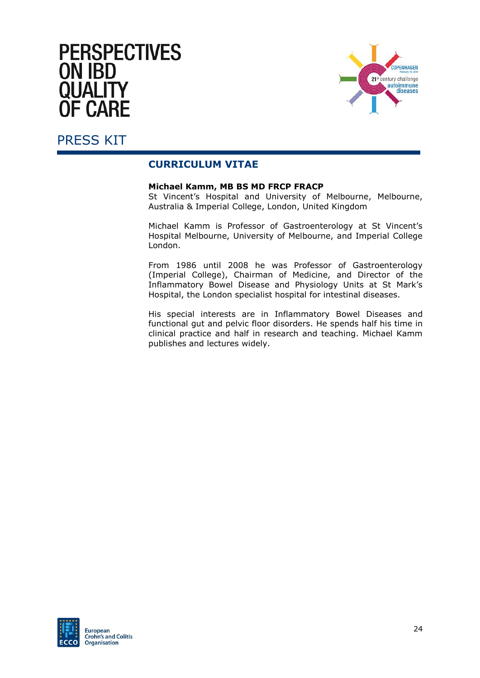

### PRESS KIT

#### **CURRICULUM VITAE**

#### **Michael Kamm, MB BS MD FRCP FRACP**

St Vincent's Hospital and University of Melbourne, Melbourne, Australia & Imperial College, London, United Kingdom

Michael Kamm is Professor of Gastroenterology at St Vincent's Hospital Melbourne, University of Melbourne, and Imperial College London.

From 1986 until 2008 he was Professor of Gastroenterology (Imperial College), Chairman of Medicine, and Director of the Inflammatory Bowel Disease and Physiology Units at St Mark's Hospital, the London specialist hospital for intestinal diseases.

His special interests are in Inflammatory Bowel Diseases and functional gut and pelvic floor disorders. He spends half his time in clinical practice and half in research and teaching. Michael Kamm publishes and lectures widely.

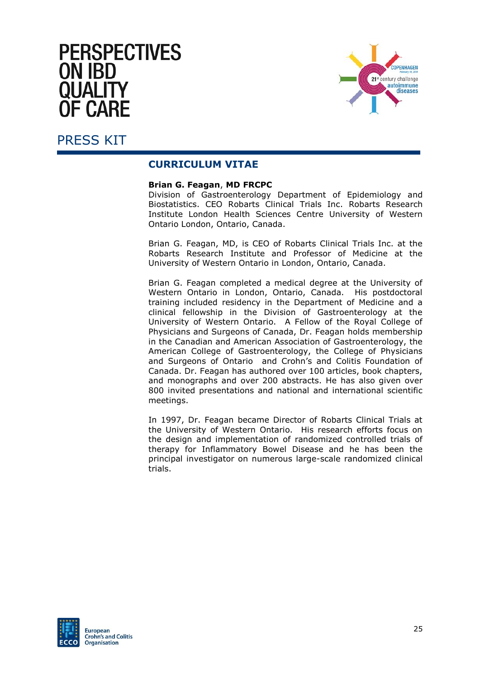

#### PRESS KIT

#### **CURRICULUM VITAE**

#### **Brian G. Feagan**, **MD FRCPC**

Division of Gastroenterology Department of Epidemiology and Biostatistics. CEO Robarts Clinical Trials Inc. Robarts Research Institute London Health Sciences Centre University of Western Ontario London, Ontario, Canada.

Brian G. Feagan, MD, is CEO of Robarts Clinical Trials Inc. at the Robarts Research Institute and Professor of Medicine at the University of Western Ontario in London, Ontario, Canada.

Brian G. Feagan completed a medical degree at the University of Western Ontario in London, Ontario, Canada. His postdoctoral training included residency in the Department of Medicine and a clinical fellowship in the Division of Gastroenterology at the University of Western Ontario. A Fellow of the Royal College of Physicians and Surgeons of Canada, Dr. Feagan holds membership in the Canadian and American Association of Gastroenterology, the American College of Gastroenterology, the College of Physicians and Surgeons of Ontario and Crohn's and Colitis Foundation of Canada. Dr. Feagan has authored over 100 articles, book chapters, and monographs and over 200 abstracts. He has also given over 800 invited presentations and national and international scientific meetings.

In 1997, Dr. Feagan became Director of Robarts Clinical Trials at the University of Western Ontario. His research efforts focus on the design and implementation of randomized controlled trials of therapy for Inflammatory Bowel Disease and he has been the principal investigator on numerous large-scale randomized clinical trials.

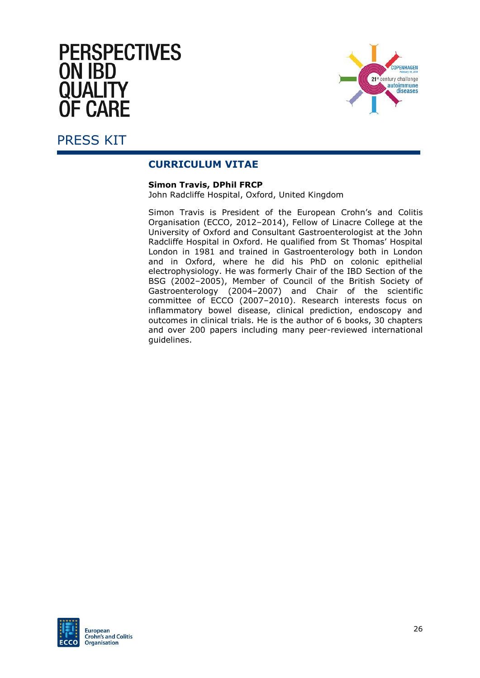

#### PRESS KIT

#### **CURRICULUM VITAE**

#### **Simon Travis, DPhil FRCP**

John Radcliffe Hospital, Oxford, United Kingdom

Simon Travis is President of the European Crohn's and Colitis Organisation (ECCO, 2012–2014), Fellow of Linacre College at the University of Oxford and Consultant Gastroenterologist at the John Radcliffe Hospital in Oxford. He qualified from St Thomas' Hospital London in 1981 and trained in Gastroenterology both in London and in Oxford, where he did his PhD on colonic epithelial electrophysiology. He was formerly Chair of the IBD Section of the BSG (2002–2005), Member of Council of the British Society of Gastroenterology (2004–2007) and Chair of the scientific committee of ECCO (2007–2010). Research interests focus on inflammatory bowel disease, clinical prediction, endoscopy and outcomes in clinical trials. He is the author of 6 books, 30 chapters and over 200 papers including many peer-reviewed international guidelines.

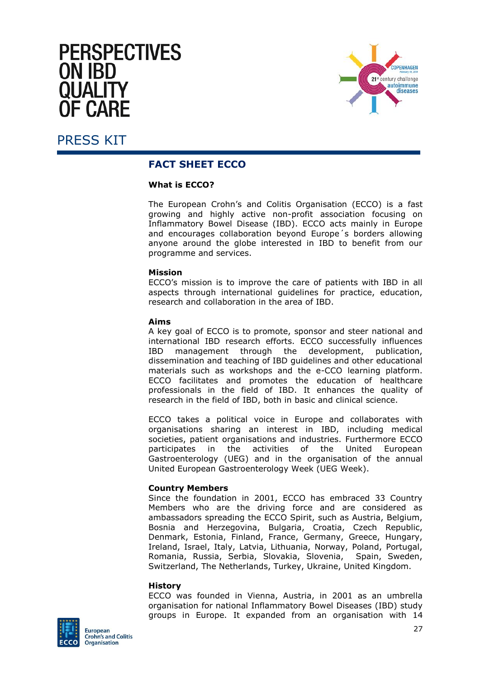# **PERSPECTIVES ON IBD** OHAL FI IF CΔRF



#### <span id="page-28-0"></span>PRESS KIT

#### **FACT SHEET ECCO**

#### **What is ECCO?**

The European Crohn's and Colitis Organisation (ECCO) is a fast growing and highly active non-profit association focusing on Inflammatory Bowel Disease (IBD). ECCO acts mainly in Europe and encourages collaboration beyond Europe´s borders allowing anyone around the globe interested in IBD to benefit from our programme and services.

#### **Mission**

ECCO's mission is to improve the care of patients with IBD in all aspects through international guidelines for practice, education, research and collaboration in the area of IBD.

#### **Aims**

A key goal of ECCO is to promote, sponsor and steer national and international IBD research efforts. ECCO successfully influences IBD management through the development, publication, dissemination and teaching of IBD guidelines and other educational materials such as workshops and the e-CCO learning platform. ECCO facilitates and promotes the education of healthcare professionals in the field of IBD. It enhances the quality of research in the field of IBD, both in basic and clinical science.

ECCO takes a political voice in Europe and collaborates with organisations sharing an interest in IBD, including medical societies, patient organisations and industries. Furthermore ECCO participates in the activities of the United European Gastroenterology (UEG) and in the organisation of the annual United European Gastroenterology Week (UEG Week).

#### **Country Members**

Since the foundation in 2001, ECCO has embraced 33 Country Members who are the driving force and are considered as ambassadors spreading the ECCO Spirit, such as Austria, Belgium, Bosnia and Herzegovina, Bulgaria, Croatia, Czech Republic, Denmark, Estonia, Finland, France, Germany, Greece, Hungary, Ireland, Israel, Italy, Latvia, Lithuania, Norway, Poland, Portugal, Romania, Russia, Serbia, Slovakia, Slovenia, Spain, Sweden, Switzerland, The Netherlands, Turkey, Ukraine, United Kingdom.

#### **History**

ECCO was founded in Vienna, Austria, in 2001 as an umbrella organisation for national Inflammatory Bowel Diseases (IBD) study groups in Europe. It expanded from an organisation with 14

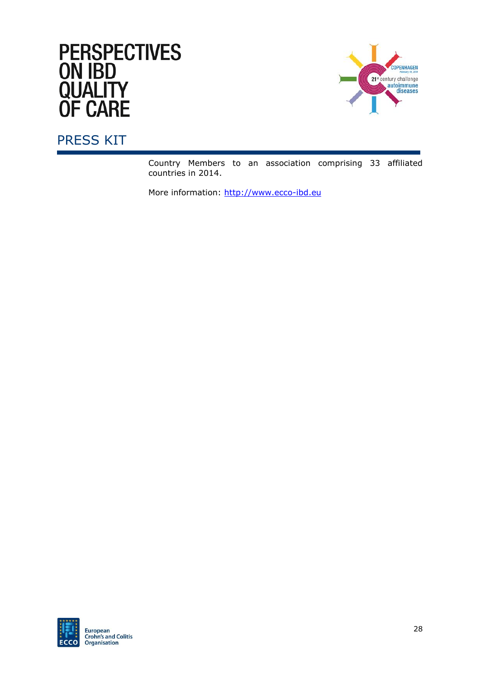# **PERSPECTIVES** ON IBD<br>QUALITY<br>OF CARE



# PRESS KIT

Country Members to an association comprising 33 affiliated countries in 2014.

More information: http://www.ecco-ibd.eu

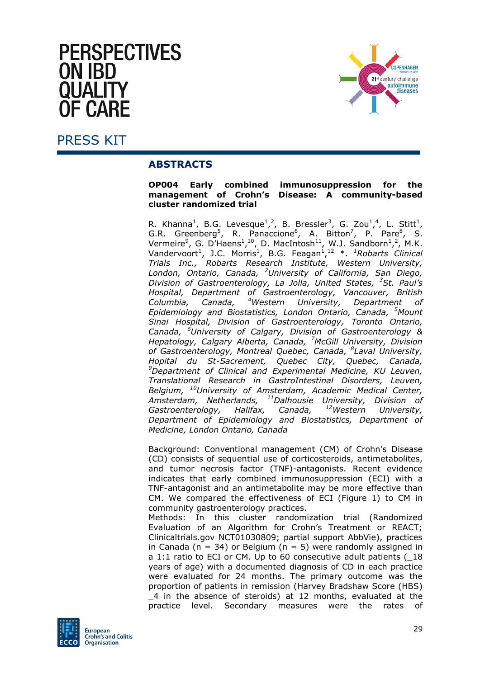# **PERSPECTIVES ON IRD** E CARE



<span id="page-30-0"></span>PRESS KIT

#### **ABSTRACTS**

#### **OP004 Early combined immunosuppression for the management of Crohn's Disease: A community-based cluster randomized trial**

R. Khanna<sup>1</sup>, B.G. Levesque<sup>1</sup>,<sup>2</sup>, B. Bressler<sup>3</sup>, G. Zou<sup>1</sup>,<sup>4</sup>, L. Stitt<sup>1</sup>, G.R. Greenberg<sup>5</sup>, R. Panaccione<sup>6</sup>, A. Bitton<sup>7</sup>, P. Pare<sup>8</sup>, S. Vermeire<sup>9</sup>, G. D'Haens<sup>1</sup>,<sup>10</sup>, D. MacIntosh<sup>11</sup>, W.J. Sandborn<sup>1</sup>,<sup>2</sup>, M.K. Vandervoort<sup>1</sup>, J.C. Morris<sup>1</sup>, B.G. Feagan<sup>1</sup>,<sup>12</sup> \*. <sup>1</sup>Robarts Clinical *Trials Inc., Robarts Research Institute, Western University, London, Ontario, Canada, <sup>2</sup>University of California, San Diego, Division of Gastroenterology, La Jolla, United States, <sup>3</sup>St. Paul's Hospital, Department of Gastroenterology, Vancouver, British Columbia, Canada, <sup>4</sup>Western University, Department of Epidemiology and Biostatistics, London Ontario, Canada, <sup>5</sup>Mount Sinai Hospital, Division of Gastroenterology, Toronto Ontario, Canada, <sup>6</sup>University of Calgary, Division of Gastroenterology & Hepatology, Calgary Alberta, Canada, <sup>7</sup>McGill University, Division of Gastroenterology, Montreal Quebec, Canada, <sup>8</sup> Laval University, Hopital du St-Sacrement, Quebec City, Quebec, Canada, <sup>9</sup>Department of Clinical and Experimental Medicine, KU Leuven, Translational Research in GastroIntestinal Disorders, Leuven, Belgium, <sup>10</sup>University of Amsterdam, Academic Medical Center, Amsterdam, Netherlands, <sup>11</sup>Dalhousie University, Division of Gastroenterology, Halifax, Canada, Department of Epidemiology and Biostatistics, Department of Medicine, London Ontario, Canada* 

Background: Conventional management (CM) of Crohn's Disease (CD) consists of sequential use of corticosteroids, antimetabolites, and tumor necrosis factor (TNF)-antagonists. Recent evidence indicates that early combined immunosuppression (ECI) with a TNF-antagonist and an antimetabolite may be more effective than CM. We compared the effectiveness of ECI (Figure 1) to CM in community gastroenterology practices.

Methods: In this cluster randomization trial (Randomized Evaluation of an Algorithm for Crohn's Treatment or REACT; Clinicaltrials.gov NCT01030809; partial support AbbVie), practices in Canada ( $n = 34$ ) or Belgium ( $n = 5$ ) were randomly assigned in a 1:1 ratio to ECI or CM. Up to 60 consecutive adult patients (\_18 years of age) with a documented diagnosis of CD in each practice were evaluated for 24 months. The primary outcome was the proportion of patients in remission (Harvey Bradshaw Score (HBS) \_4 in the absence of steroids) at 12 months, evaluated at the practice level. Secondary measures were the rates of

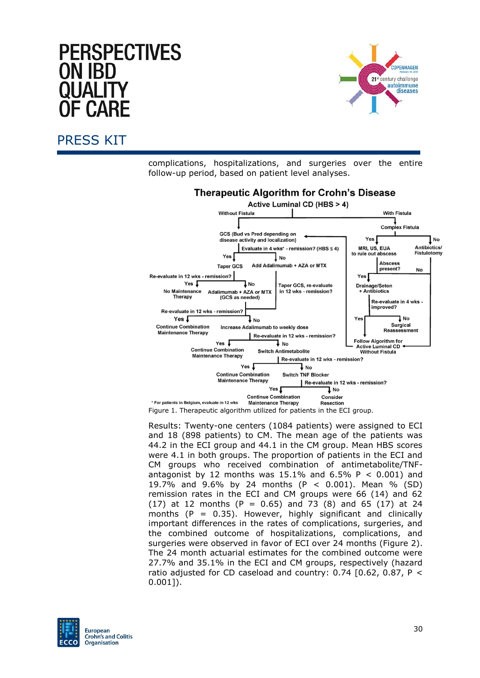# **PERSPECTIVES** ON IBD



#### PRESS KIT

complications, hospitalizations, and surgeries over the entire follow-up period, based on patient level analyses.



Figure 1. Therapeutic algorithm utilized for patients in the ECI group.

Results: Twenty-one centers (1084 patients) were assigned to ECI and 18 (898 patients) to CM. The mean age of the patients was 44.2 in the ECI group and 44.1 in the CM group. Mean HBS scores were 4.1 in both groups. The proportion of patients in the ECI and CM groups who received combination of antimetabolite/TNFantagonist by 12 months was 15.1% and 6.5% P *<* 0.001) and 19.7% and 9.6% by 24 months (P *<* 0.001). Mean % (SD) remission rates in the ECI and CM groups were 66 (14) and 62  $(17)$  at 12 months (P = 0.65) and 73 (8) and 65 (17) at 24 months  $(P = 0.35)$ . However, highly significant and clinically important differences in the rates of complications, surgeries, and the combined outcome of hospitalizations, complications, and surgeries were observed in favor of ECI over 24 months (Figure 2). The 24 month actuarial estimates for the combined outcome were 27.7% and 35.1% in the ECI and CM groups, respectively (hazard ratio adjusted for CD caseload and country: 0.74 [0.62, 0.87, P *<*  0.001]).

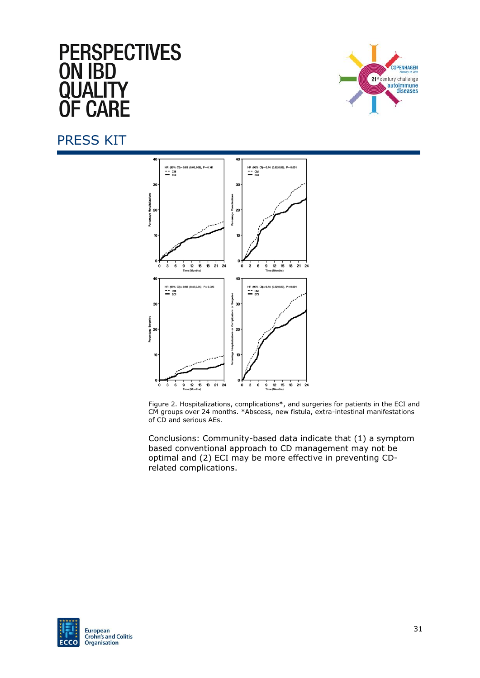# **PERSPECTIVES ON IBD** I IAI I **F CARE**



#### PRESS KIT



Figure 2. Hospitalizations, complications\*, and surgeries for patients in the ECI and CM groups over 24 months. \*Abscess, new fistula, extra-intestinal manifestations of CD and serious AEs.

Conclusions: Community-based data indicate that (1) a symptom based conventional approach to CD management may not be optimal and (2) ECI may be more effective in preventing CDrelated complications.

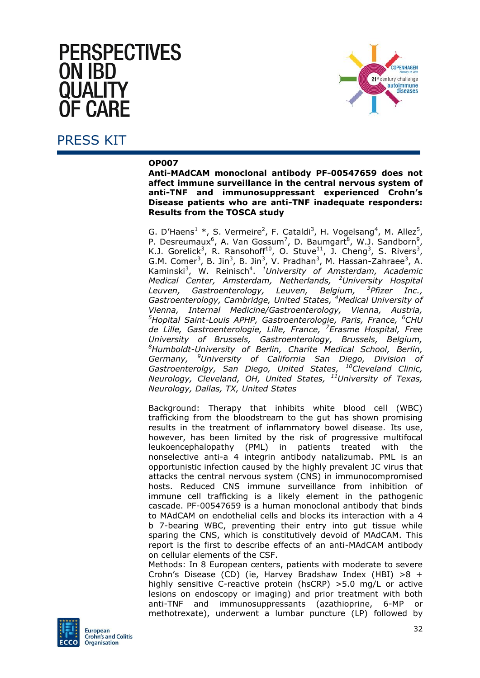# **PERSPECTIVES ON IBD** = CΔRF



#### PRESS KIT

#### **OP007**

**Anti-MAdCAM monoclonal antibody PF-00547659 does not affect immune surveillance in the central nervous system of anti-TNF and immunosuppressant experienced Crohn's Disease patients who are anti-TNF inadequate responders: Results from the TOSCA study**

G. D'Haens<sup>1</sup> \*, S. Vermeire<sup>2</sup>, F. Cataldi<sup>3</sup>, H. Vogelsang<sup>4</sup>, M. Allez<sup>5</sup>, P. Desreumaux<sup>6</sup>, A. Van Gossum<sup>7</sup>, D. Baumgart<sup>8</sup>, W.J. Sandborn<sup>9</sup>, K.J. Gorelick<sup>3</sup>, R. Ransohoff<sup>10</sup>, O. Stuve<sup>11</sup>, J. Cheng<sup>3</sup>, S. Rivers<sup>3</sup>, G.M. Comer<sup>3</sup>, B. Jin<sup>3</sup>, B. Jin<sup>3</sup>, V. Pradhan<sup>3</sup>, M. Hassan-Zahraee<sup>3</sup>, A. Kaminski<sup>3</sup>, W. Reinisch<sup>4</sup>. <sup>1</sup>University of Amsterdam, Academic *Medical Center, Amsterdam, Netherlands, <sup>2</sup>University Hospital Leuven, Gastroenterology, Leuven, Belgium, <sup>3</sup>* <sup>3</sup>Pfizer Inc., *Gastroenterology, Cambridge, United States, <sup>4</sup>Medical University of Vienna, Internal Medicine/Gastroenterology, Vienna, Austria, <sup>5</sup>Hopital Saint-Louis APHP, Gastroenterologie, Paris, France, <sup>6</sup>CHU de Lille, Gastroenterologie, Lille, France, <sup>7</sup>Erasme Hospital, Free University of Brussels, Gastroenterology, Brussels, Belgium, <sup>8</sup>Humboldt-University of Berlin, Charite Medical School, Berlin, Germany, <sup>9</sup>University of California San Diego, Division of Gastroenterolgy, San Diego, United States, <sup>10</sup>Cleveland Clinic, Neurology, Cleveland, OH, United States, <sup>11</sup>University of Texas, Neurology, Dallas, TX, United States*

Background: Therapy that inhibits white blood cell (WBC) trafficking from the bloodstream to the gut has shown promising results in the treatment of inflammatory bowel disease. Its use, however, has been limited by the risk of progressive multifocal leukoencephalopathy (PML) in patients treated with the nonselective anti-a 4 integrin antibody natalizumab. PML is an opportunistic infection caused by the highly prevalent JC virus that attacks the central nervous system (CNS) in immunocompromised hosts. Reduced CNS immune surveillance from inhibition of immune cell trafficking is a likely element in the pathogenic cascade. PF-00547659 is a human monoclonal antibody that binds to MAdCAM on endothelial cells and blocks its interaction with a 4 b 7-bearing WBC, preventing their entry into gut tissue while sparing the CNS, which is constitutively devoid of MAdCAM. This report is the first to describe effects of an anti-MAdCAM antibody on cellular elements of the CSF.

Methods: In 8 European centers, patients with moderate to severe Crohn's Disease (CD) (ie, Harvey Bradshaw Index (HBI) *>*8 + highly sensitive C-reactive protein (hsCRP) *>*5.0 mg/L or active lesions on endoscopy or imaging) and prior treatment with both anti-TNF and immunosuppressants (azathioprine, 6-MP or methotrexate), underwent a lumbar puncture (LP) followed by

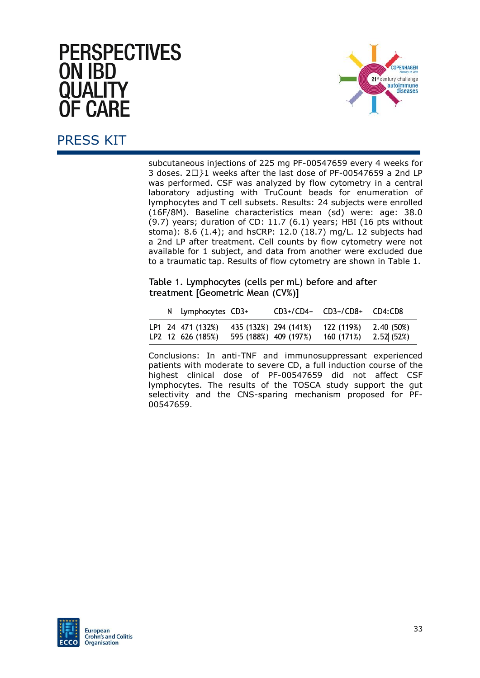# **PERSPECTIVES ON IBD** OHAL FI **F CARF**



# PRESS KIT

subcutaneous injections of 225 mg PF-00547659 every 4 weeks for 3 doses. 2*•}*1 weeks after the last dose of PF-00547659 a 2nd LP was performed. CSF was analyzed by flow cytometry in a central laboratory adjusting with TruCount beads for enumeration of lymphocytes and T cell subsets. Results: 24 subjects were enrolled (16F/8M). Baseline characteristics mean (sd) were: age: 38.0 (9.7) years; duration of CD: 11.7 (6.1) years; HBI (16 pts without stoma): 8.6 (1.4); and hsCRP: 12.0 (18.7) mg/L. 12 subjects had a 2nd LP after treatment. Cell counts by flow cytometry were not available for 1 subject, and data from another were excluded due to a traumatic tap. Results of flow cytometry are shown in Table 1.

Table 1. Lymphocytes (cells per mL) before and after treatment [Geometric Mean (CV%)]

|  | N Lymphocytes CD3+                     |                                                | $CD3+/CD4+$ | CD3+/CD8+                | CD4:CD8                  |
|--|----------------------------------------|------------------------------------------------|-------------|--------------------------|--------------------------|
|  | LP1 24 471 (132%)<br>LP2 12 626 (185%) | 435 (132%) 294 (141%)<br>595 (188%) 409 (197%) |             | 122 (119%)<br>160 (171%) | 2.40 (50%)<br>2.52 (52%) |

Conclusions: In anti-TNF and immunosuppressant experienced patients with moderate to severe CD, a full induction course of the highest clinical dose of PF-00547659 did not affect CSF lymphocytes. The results of the TOSCA study support the gut selectivity and the CNS-sparing mechanism proposed for PF-00547659.

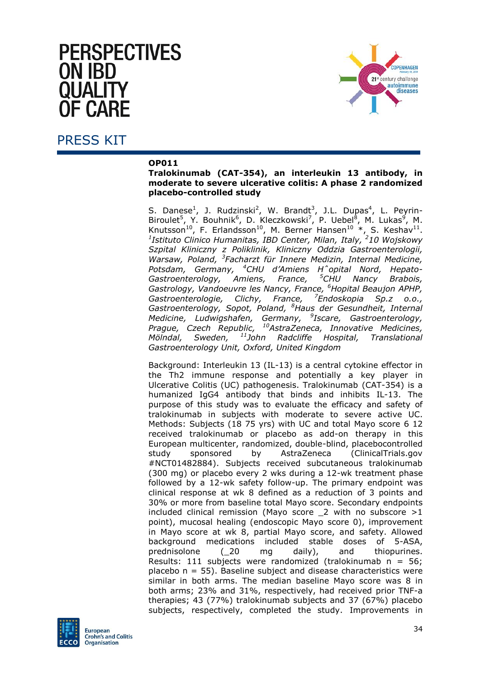# **PERSPECTIVES** ON IRD E CARE



#### PRESS KIT

#### **OP011**

**Tralokinumab (CAT-354), an interleukin 13 antibody, in moderate to severe ulcerative colitis: A phase 2 randomized placebo-controlled study**

S. Danese<sup>1</sup>, J. Rudzinski<sup>2</sup>, W. Brandt<sup>3</sup>, J.L. Dupas<sup>4</sup>, L. Peyrin-Biroulet<sup>5</sup>, Y. Bouhnik<sup>6</sup>, D. Kleczkowski<sup>7</sup>, P. Uebel<sup>8</sup>, M. Lukas<sup>9</sup>, M. Knutsson<sup>10</sup>, F. Erlandsson<sup>10</sup>, M. Berner Hansen<sup>10</sup> \*, S. Keshav<sup>11</sup>.<br><sup>1</sup>Istituto Clinico Humanitas, IBD Center, Milan, Italy, <sup>2</sup>10 Wojskowy *Szpital Kliniczny z Poliklinik, Kliniczny Oddzia Gastroenterologii, Warsaw, Poland, <sup>3</sup> Facharzt für Innere Medizin, Internal Medicine, Potsdam, Germany, <sup>4</sup>CHU d'Amiens Hˆopital Nord, Hepato-Gastroenterology, Amiens, France, Gastrology, Vandoeuvre les Nancy, France, <sup>6</sup>Hopital Beaujon APHP, Gastroenterologie, Clichy, France, <sup>7</sup>Endoskopia Sp.z o.o., Gastroenterology, Sopot, Poland, <sup>8</sup>Haus der Gesundheit, Internal Medicine, Ludwigshafen, Germany, <sup>9</sup> Iscare, Gastroenterology, Prague, Czech Republic, <sup>10</sup>AstraZeneca, Innovative Medicines, Mölndal, Sweden, <sup>11</sup>John Radcliffe Hospital, Translational Gastroenterology Unit, Oxford, United Kingdom*

Background: Interleukin 13 (IL-13) is a central cytokine effector in the Th2 immune response and potentially a key player in Ulcerative Colitis (UC) pathogenesis. Tralokinumab (CAT-354) is a humanized IgG4 antibody that binds and inhibits IL-13. The purpose of this study was to evaluate the efficacy and safety of tralokinumab in subjects with moderate to severe active UC. Methods: Subjects (18 75 yrs) with UC and total Mayo score 6 12 received tralokinumab or placebo as add-on therapy in this European multicenter, randomized, double-blind, placebocontrolled study sponsored by AstraZeneca (ClinicalTrials.gov #NCT01482884). Subjects received subcutaneous tralokinumab (300 mg) or placebo every 2 wks during a 12-wk treatment phase followed by a 12-wk safety follow-up. The primary endpoint was clinical response at wk 8 defined as a reduction of 3 points and 30% or more from baseline total Mayo score. Secondary endpoints included clinical remission (Mayo score \_2 with no subscore *>*1 point), mucosal healing (endoscopic Mayo score 0), improvement in Mayo score at wk 8, partial Mayo score, and safety. Allowed background medications included stable doses of 5-ASA, prednisolone (\_20 mg daily), and thiopurines. Results: 111 subjects were randomized (tralokinumab  $n = 56$ ;  $placebo$   $n = 55$ ). Baseline subject and disease characteristics were similar in both arms. The median baseline Mayo score was 8 in both arms; 23% and 31%, respectively, had received prior TNF-a therapies; 43 (77%) tralokinumab subjects and 37 (67%) placebo subjects, respectively, completed the study. Improvements in

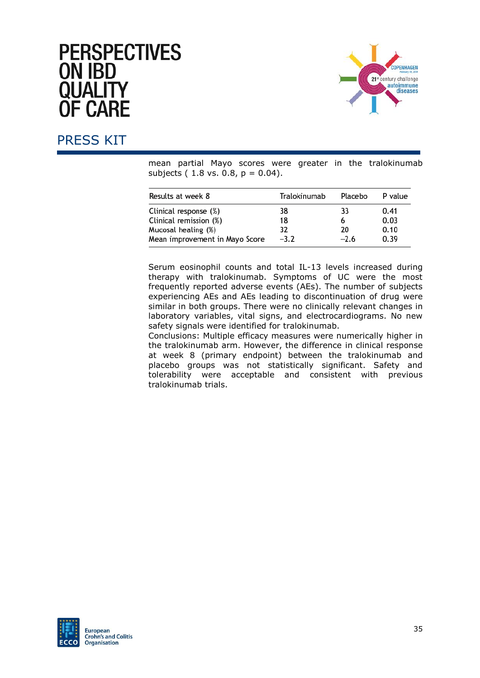

# PRESS KIT

mean partial Mayo scores were greater in the tralokinumab subjects  $(1.8 \text{ vs. } 0.8, p = 0.04)$ .

| Results at week 8              | Tralokinumab | Placebo | P value |  |
|--------------------------------|--------------|---------|---------|--|
| Clinical response (%)          | 38           | 33      | 0.41    |  |
| Clinical remission (%)         | 18           | 6       | 0.03    |  |
| Mucosal healing (%)            | 32           | 20      | 0.10    |  |
| Mean improvement in Mayo Score | $-3.2$       | $-2.6$  | 0.39    |  |

Serum eosinophil counts and total IL-13 levels increased during therapy with tralokinumab. Symptoms of UC were the most frequently reported adverse events (AEs). The number of subjects experiencing AEs and AEs leading to discontinuation of drug were similar in both groups. There were no clinically relevant changes in laboratory variables, vital signs, and electrocardiograms. No new safety signals were identified for tralokinumab.

Conclusions: Multiple efficacy measures were numerically higher in the tralokinumab arm. However, the difference in clinical response at week 8 (primary endpoint) between the tralokinumab and placebo groups was not statistically significant. Safety and tolerability were acceptable and consistent with previous tralokinumab trials.

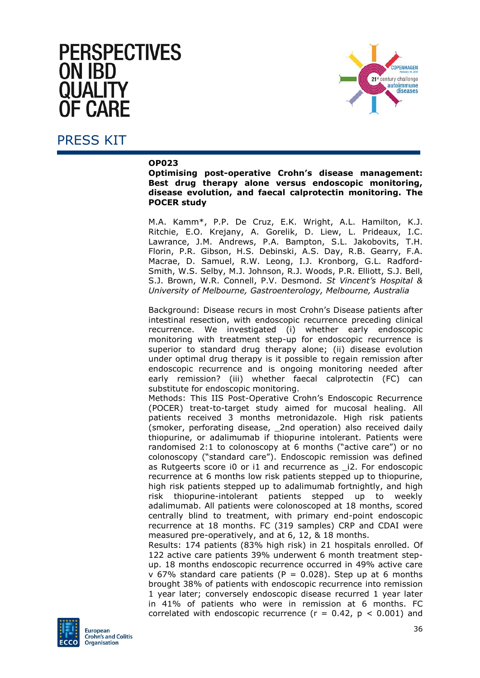# **PERSPECTIVES ON IBD** NHAL F **F CARF**



#### PRESS KIT

#### **OP023**

**Optimising post-operative Crohn's disease management: Best drug therapy alone versus endoscopic monitoring, disease evolution, and faecal calprotectin monitoring. The POCER study**

M.A. Kamm\*, P.P. De Cruz, E.K. Wright, A.L. Hamilton, K.J. Ritchie, E.O. Krejany, A. Gorelik, D. Liew, L. Prideaux, I.C. Lawrance, J.M. Andrews, P.A. Bampton, S.L. Jakobovits, T.H. Florin, P.R. Gibson, H.S. Debinski, A.S. Day, R.B. Gearry, F.A. Macrae, D. Samuel, R.W. Leong, I.J. Kronborg, G.L. Radford-Smith, W.S. Selby, M.J. Johnson, R.J. Woods, P.R. Elliott, S.J. Bell, S.J. Brown, W.R. Connell, P.V. Desmond. *St Vincent's Hospital & University of Melbourne, Gastroenterology, Melbourne, Australia*

Background: Disease recurs in most Crohn's Disease patients after intestinal resection, with endoscopic recurrence preceding clinical recurrence. We investigated (i) whether early endoscopic monitoring with treatment step-up for endoscopic recurrence is superior to standard drug therapy alone; (ii) disease evolution under optimal drug therapy is it possible to regain remission after endoscopic recurrence and is ongoing monitoring needed after early remission? (iii) whether faecal calprotectin (FC) can substitute for endoscopic monitoring.

Methods: This IIS Post-Operative Crohn's Endoscopic Recurrence (POCER) treat-to-target study aimed for mucosal healing. All patients received 3 months metronidazole. High risk patients (smoker, perforating disease, \_2nd operation) also received daily thiopurine, or adalimumab if thiopurine intolerant. Patients were randomised 2:1 to colonoscopy at 6 months ("active care") or no colonoscopy ("standard care"). Endoscopic remission was defined as Rutgeerts score i0 or i1 and recurrence as \_i2. For endoscopic recurrence at 6 months low risk patients stepped up to thiopurine, high risk patients stepped up to adalimumab fortnightly, and high risk thiopurine-intolerant patients stepped up to weekly adalimumab. All patients were colonoscoped at 18 months, scored centrally blind to treatment, with primary end-point endoscopic recurrence at 18 months. FC (319 samples) CRP and CDAI were measured pre-operatively, and at 6, 12, & 18 months.

Results: 174 patients (83% high risk) in 21 hospitals enrolled. Of 122 active care patients 39% underwent 6 month treatment stepup. 18 months endoscopic recurrence occurred in 49% active care v 67% standard care patients ( $P = 0.028$ ). Step up at 6 months brought 38% of patients with endoscopic recurrence into remission 1 year later; conversely endoscopic disease recurred 1 year later in 41% of patients who were in remission at 6 months. FC correlated with endoscopic recurrence ( $r = 0.42$ ,  $p < 0.001$ ) and

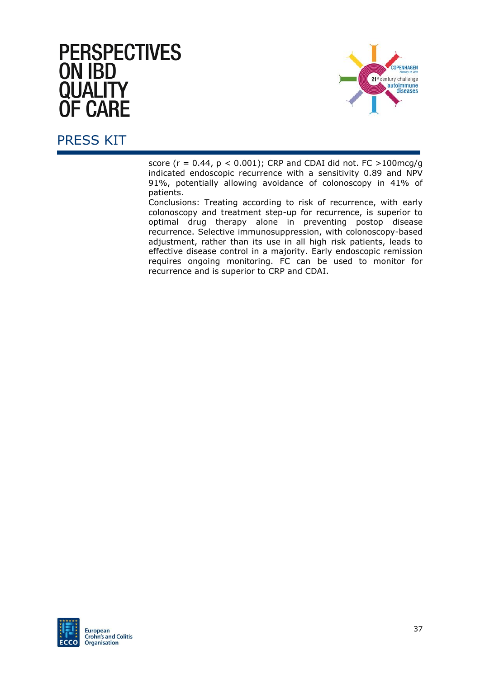

### PRESS KIT

score (r = 0.44, p *<* 0.001); CRP and CDAI did not. FC *>*100mcg/g indicated endoscopic recurrence with a sensitivity 0.89 and NPV 91%, potentially allowing avoidance of colonoscopy in 41% of patients.

Conclusions: Treating according to risk of recurrence, with early colonoscopy and treatment step-up for recurrence, is superior to optimal drug therapy alone in preventing postop disease recurrence. Selective immunosuppression, with colonoscopy-based adjustment, rather than its use in all high risk patients, leads to effective disease control in a majority. Early endoscopic remission requires ongoing monitoring. FC can be used to monitor for recurrence and is superior to CRP and CDAI.

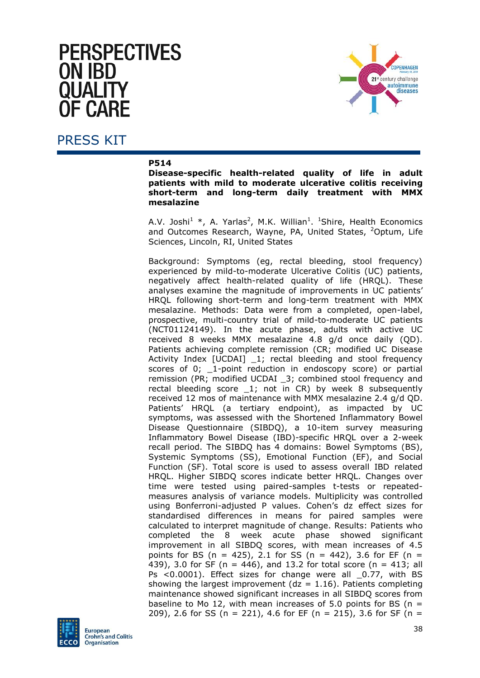# **PERSPECTIVES ON IBD** I IAI I F CΔRF



#### PRESS KIT

#### **P514**

**Disease-specific health-related quality of life in adult patients with mild to moderate ulcerative colitis receiving short-term and long-term daily treatment with MMX mesalazine**

A.V. Joshi<sup>1</sup> \*, A. Yarlas<sup>2</sup>, M.K. Willian<sup>1</sup>. <sup>1</sup>Shire, Health Economics and Outcomes Research, Wayne, PA, United States, <sup>2</sup>Optum, Life Sciences, Lincoln, RI, United States

Background: Symptoms (eg, rectal bleeding, stool frequency) experienced by mild-to-moderate Ulcerative Colitis (UC) patients, negatively affect health-related quality of life (HRQL). These analyses examine the magnitude of improvements in UC patients' HRQL following short-term and long-term treatment with MMX mesalazine. Methods: Data were from a completed, open-label, prospective, multi-country trial of mild-to-moderate UC patients (NCT01124149). In the acute phase, adults with active UC received 8 weeks MMX mesalazine 4.8 g/d once daily (QD). Patients achieving complete remission (CR; modified UC Disease Activity Index [UCDAI] \_1; rectal bleeding and stool frequency scores of 0; \_1-point reduction in endoscopy score) or partial remission (PR; modified UCDAI \_3; combined stool frequency and rectal bleeding score 1; not in CR) by week 8 subsequently received 12 mos of maintenance with MMX mesalazine 2.4 g/d QD. Patients' HRQL (a tertiary endpoint), as impacted by UC symptoms, was assessed with the Shortened Inflammatory Bowel Disease Questionnaire (SIBDQ), a 10-item survey measuring Inflammatory Bowel Disease (IBD)-specific HRQL over a 2-week recall period. The SIBDQ has 4 domains: Bowel Symptoms (BS), Systemic Symptoms (SS), Emotional Function (EF), and Social Function (SF). Total score is used to assess overall IBD related HRQL. Higher SIBDQ scores indicate better HRQL. Changes over time were tested using paired-samples t-tests or repeatedmeasures analysis of variance models. Multiplicity was controlled using Bonferroni-adjusted P values. Cohen's dz effect sizes for standardised differences in means for paired samples were calculated to interpret magnitude of change. Results: Patients who completed the 8 week acute phase showed significant improvement in all SIBDQ scores, with mean increases of 4.5 points for BS (n = 425), 2.1 for SS (n = 442), 3.6 for EF (n = 439), 3.0 for SF ( $n = 446$ ), and 13.2 for total score ( $n = 413$ ; all Ps <0.0001). Effect sizes for change were all 0.77, with BS showing the largest improvement ( $dz = 1.16$ ). Patients completing maintenance showed significant increases in all SIBDQ scores from baseline to Mo 12, with mean increases of 5.0 points for BS ( $n =$ 209), 2.6 for SS (n = 221), 4.6 for EF (n = 215), 3.6 for SF (n =

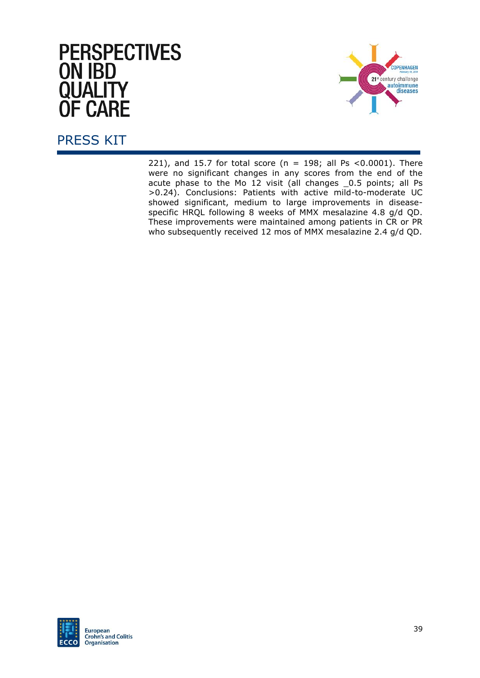

# PRESS KIT

221), and 15.7 for total score ( $n = 198$ ; all Ps <0.0001). There were no significant changes in any scores from the end of the acute phase to the Mo 12 visit (all changes 0.5 points; all Ps >0.24). Conclusions: Patients with active mild-to-moderate UC showed significant, medium to large improvements in diseasespecific HRQL following 8 weeks of MMX mesalazine 4.8 g/d QD. These improvements were maintained among patients in CR or PR who subsequently received 12 mos of MMX mesalazine 2.4 g/d QD.